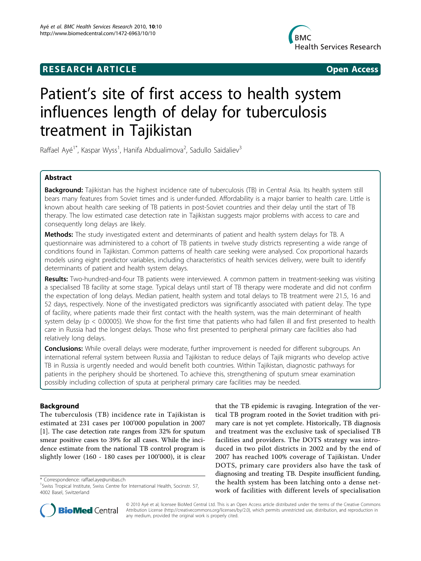## **RESEARCH ARTICLE Example 2008 CONSIDERING ACCESS**



# Patient's site of first access to health system influences length of delay for tuberculosis treatment in Tajikistan

Raffael Ayé<sup>1\*</sup>, Kaspar Wyss<sup>1</sup>, Hanifa Abdualimova<sup>2</sup>, Sadullo Saidaliev<sup>3</sup>

## Abstract

Background: Tajikistan has the highest incidence rate of tuberculosis (TB) in Central Asia. Its health system still bears many features from Soviet times and is under-funded. Affordability is a major barrier to health care. Little is known about health care seeking of TB patients in post-Soviet countries and their delay until the start of TB therapy. The low estimated case detection rate in Tajikistan suggests major problems with access to care and consequently long delays are likely.

Methods: The study investigated extent and determinants of patient and health system delays for TB. A questionnaire was administered to a cohort of TB patients in twelve study districts representing a wide range of conditions found in Tajikistan. Common patterns of health care seeking were analysed. Cox proportional hazards models using eight predictor variables, including characteristics of health services delivery, were built to identify determinants of patient and health system delays.

Results: Two-hundred-and-four TB patients were interviewed. A common pattern in treatment-seeking was visiting a specialised TB facility at some stage. Typical delays until start of TB therapy were moderate and did not confirm the expectation of long delays. Median patient, health system and total delays to TB treatment were 21.5, 16 and 52 days, respectively. None of the investigated predictors was significantly associated with patient delay. The type of facility, where patients made their first contact with the health system, was the main determinant of health system delay ( $p < 0.00005$ ). We show for the first time that patients who had fallen ill and first presented to health care in Russia had the longest delays. Those who first presented to peripheral primary care facilities also had relatively long delays.

**Conclusions:** While overall delays were moderate, further improvement is needed for different subgroups. An international referral system between Russia and Tajikistan to reduce delays of Tajik migrants who develop active TB in Russia is urgently needed and would benefit both countries. Within Tajikistan, diagnostic pathways for patients in the periphery should be shortened. To achieve this, strengthening of sputum smear examination possibly including collection of sputa at peripheral primary care facilities may be needed.

## Background

The tuberculosis (TB) incidence rate in Tajikistan is estimated at 231 cases per 100'000 population in 2007 [[1\]](#page-10-0). The case detection rate ranges from 32% for sputum smear positive cases to 39% for all cases. While the incidence estimate from the national TB control program is slightly lower (160 - 180 cases per 100'000), it is clear

that the TB epidemic is ravaging. Integration of the vertical TB program rooted in the Soviet tradition with primary care is not yet complete. Historically, TB diagnosis and treatment was the exclusive task of specialised TB facilities and providers. The DOTS strategy was introduced in two pilot districts in 2002 and by the end of 2007 has reached 100% coverage of Tajikistan. Under DOTS, primary care providers also have the task of diagnosing and treating TB. Despite insufficient funding, the health system has been latching onto a dense network of facilities with different levels of specialisation



© 2010 Ayé et al; licensee BioMed Central Ltd. This is an Open Access article distributed under the terms of the Creative Commons Attribution License [\(http://creativecommons.org/licenses/by/2.0](http://creativecommons.org/licenses/by/2.0)), which permits unrestricted use, distribution, and reproduction in any medium, provided the original work is properly cited.

<sup>\*</sup> Correspondence: [raffael.aye@unibas.ch](mailto:raffael.aye@unibas.ch)

<sup>&</sup>lt;sup>1</sup> Swiss Tropical Institute, Swiss Centre for International Health, Socinstr. 57, 4002 Basel, Switzerland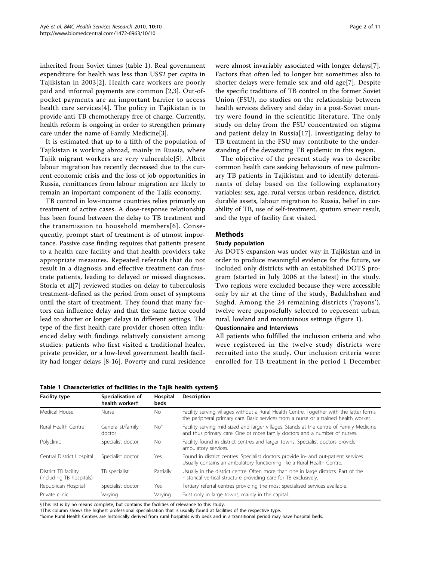<span id="page-1-0"></span>inherited from Soviet times (table 1). Real government expenditure for health was less than US\$2 per capita in Tajikistan in 2003[[2\]](#page-10-0). Health care workers are poorly paid and informal payments are common [[2,3\]](#page-10-0). Out-ofpocket payments are an important barrier to access health care services[[4\]](#page-10-0). The policy in Tajikistan is to provide anti-TB chemotherapy free of charge. Currently, health reform is ongoing in order to strengthen primary care under the name of Family Medicine[[3\]](#page-10-0).

It is estimated that up to a fifth of the population of Tajikistan is working abroad, mainly in Russia, where Tajik migrant workers are very vulnerable[[5](#page-10-0)]. Albeit labour migration has recently decreased due to the current economic crisis and the loss of job opportunities in Russia, remittances from labour migration are likely to remain an important component of the Tajik economy.

TB control in low-income countries relies primarily on treatment of active cases. A dose-response relationship has been found between the delay to TB treatment and the transmission to household members[[6](#page-10-0)]. Consequently, prompt start of treatment is of utmost importance. Passive case finding requires that patients present to a health care facility and that health providers take appropriate measures. Repeated referrals that do not result in a diagnosis and effective treatment can frustrate patients, leading to delayed or missed diagnoses. Storla et al[[7](#page-10-0)] reviewed studies on delay to tuberculosis treatment-defined as the period from onset of symptoms until the start of treatment. They found that many factors can influence delay and that the same factor could lead to shorter or longer delays in different settings. The type of the first health care provider chosen often influenced delay with findings relatively consistent among studies: patients who first visited a traditional healer, private provider, or a low-level government health facility had longer delays [\[8](#page-10-0)-[16\]](#page-10-0). Poverty and rural residence

Table 1 Characteristics of facilities in the Tajik health system§

were almost invariably associated with longer delays[[7](#page-10-0)]. Factors that often led to longer but sometimes also to shorter delays were female sex and old age[[7\]](#page-10-0). Despite the specific traditions of TB control in the former Soviet Union (FSU), no studies on the relationship between health services delivery and delay in a post-Soviet country were found in the scientific literature. The only study on delay from the FSU concentrated on stigma and patient delay in Russia[[17](#page-10-0)]. Investigating delay to TB treatment in the FSU may contribute to the understanding of the devastating TB epidemic in this region.

The objective of the present study was to describe common health care seeking behaviours of new pulmonary TB patients in Tajikistan and to identify determinants of delay based on the following explanatory variables: sex, age, rural versus urban residence, district, durable assets, labour migration to Russia, belief in curability of TB, use of self-treatment, sputum smear result, and the type of facility first visited.

## Methods

#### Study population

As DOTS expansion was under way in Tajikistan and in order to produce meaningful evidence for the future, we included only districts with an established DOTS program (started in July 2006 at the latest) in the study. Two regions were excluded because they were accessible only by air at the time of the study, Badakhshan and Sughd. Among the 24 remaining districts ('rayons'), twelve were purposefully selected to represent urban, rural, lowland and mountainous settings (figure [1](#page-2-0)).

## Questionnaire and Interviews

All patients who fulfilled the inclusion criteria and who were registered in the twelve study districts were recruited into the study. Our inclusion criteria were: enrolled for TB treatment in the period 1 December

| <b>Facility type</b>                             | Specialisation of<br>health workert | Hospital<br>beds | <b>Description</b>                                                                                                                                                              |
|--------------------------------------------------|-------------------------------------|------------------|---------------------------------------------------------------------------------------------------------------------------------------------------------------------------------|
| Medical House                                    | Nurse                               | No.              | Facility serving villages without a Rural Health Centre. Together with the latter forms<br>the peripheral primary care. Basic services from a nurse or a trained health worker. |
| Rural Health Centre                              | Generalist/family<br>doctor         | No <sup>o</sup>  | Facility serving mid-sized and larger villages. Stands at the centre of Family Medicine<br>and thus primary care. One or more family doctors and a number of nurses.            |
| Polyclinic                                       | Specialist doctor                   | No.              | Facility found in district centres and larger towns. Specialist doctors provide<br>ambulatory services.                                                                         |
| Central District Hospital                        | Specialist doctor                   | Yes              | Found in district centres. Specialist doctors provide in- and out-patient services.<br>Usually contains an ambulatory functioning like a Rural Health Centre.                   |
| District TB facility<br>(including TB hospitals) | TB specialist                       | Partially        | Usually in the district centre. Often more than one in large districts. Part of the<br>historical vertical structure providing care for TB exclusively.                         |
| Republican Hospital                              | Specialist doctor                   | Yes              | Tertiary referral centres providing the most specialised services available.                                                                                                    |
| Private clinic                                   | Varying                             | Varying          | Exist only in large towns, mainly in the capital.                                                                                                                               |

§This list is by no means complete, but contains the facilities of relevance to this study.

†This column shows the highest professional specialisation that is usually found at facilities of the respective type.

°Some Rural Health Centres are historically derived from rural hospitals with beds and in a transitional period may have hospital beds.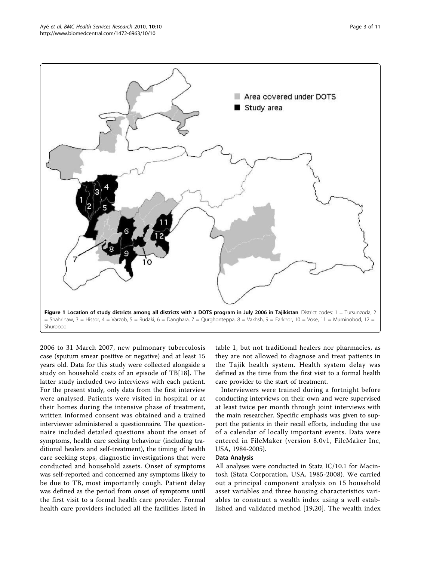<span id="page-2-0"></span>

2006 to 31 March 2007, new pulmonary tuberculosis case (sputum smear positive or negative) and at least 15 years old. Data for this study were collected alongside a study on household costs of an episode of TB[[18](#page-10-0)]. The latter study included two interviews with each patient. For the present study, only data from the first interview were analysed. Patients were visited in hospital or at their homes during the intensive phase of treatment, written informed consent was obtained and a trained interviewer administered a questionnaire. The questionnaire included detailed questions about the onset of symptoms, health care seeking behaviour (including traditional healers and self-treatment), the timing of health care seeking steps, diagnostic investigations that were conducted and household assets. Onset of symptoms was self-reported and concerned any symptoms likely to be due to TB, most importantly cough. Patient delay was defined as the period from onset of symptoms until the first visit to a formal health care provider. Formal health care providers included all the facilities listed in

table [1](#page-1-0), but not traditional healers nor pharmacies, as they are not allowed to diagnose and treat patients in the Tajik health system. Health system delay was defined as the time from the first visit to a formal health care provider to the start of treatment.

Interviewers were trained during a fortnight before conducting interviews on their own and were supervised at least twice per month through joint interviews with the main researcher. Specific emphasis was given to support the patients in their recall efforts, including the use of a calendar of locally important events. Data were entered in FileMaker (version 8.0v1, FileMaker Inc, USA, 1984-2005).

#### Data Analysis

All analyses were conducted in Stata IC/10.1 for Macintosh (Stata Corporation, USA, 1985-2008). We carried out a principal component analysis on 15 household asset variables and three housing characteristics variables to construct a wealth index using a well established and validated method [[19,20](#page-10-0)]. The wealth index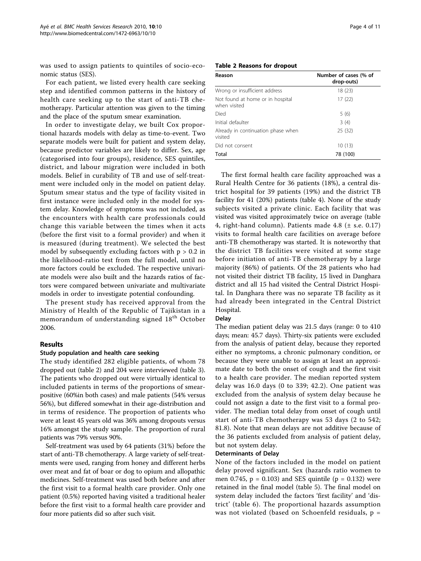was used to assign patients to quintiles of socio-economic status (SES).

For each patient, we listed every health care seeking step and identified common patterns in the history of health care seeking up to the start of anti-TB chemotherapy. Particular attention was given to the timing and the place of the sputum smear examination.

In order to investigate delay, we built Cox proportional hazards models with delay as time-to-event. Two separate models were built for patient and system delay, because predictor variables are likely to differ. Sex, age (categorised into four groups), residence, SES quintiles, district, and labour migration were included in both models. Belief in curability of TB and use of self-treatment were included only in the model on patient delay. Sputum smear status and the type of facility visited in first instance were included only in the model for system delay. Knowledge of symptoms was not included, as the encounters with health care professionals could change this variable between the times when it acts (before the first visit to a formal provider) and when it is measured (during treatment). We selected the best model by subsequently excluding factors with  $p > 0.2$  in the likelihood-ratio test from the full model, until no more factors could be excluded. The respective univariate models were also built and the hazards ratios of factors were compared between univariate and multivariate models in order to investigate potential confounding.

The present study has received approval from the Ministry of Health of the Republic of Tajikistan in a memorandum of understanding signed 18<sup>th</sup> October 2006.

#### Results

#### Study population and health care seeking

The study identified 282 eligible patients, of whom 78 dropped out (table 2) and 204 were interviewed (table [3](#page-4-0)). The patients who dropped out were virtually identical to included patients in terms of the proportions of smearpositive (60%in both cases) and male patients (54% versus 56%), but differed somewhat in their age-distribution and in terms of residence. The proportion of patients who were at least 45 years old was 36% among dropouts versus 16% amongst the study sample. The proportion of rural patients was 79% versus 90%.

Self-treatment was used by 64 patients (31%) before the start of anti-TB chemotherapy. A large variety of self-treatments were used, ranging from honey and different herbs over meat and fat of boar or dog to opium and allopathic medicines. Self-treatment was used both before and after the first visit to a formal health care provider. Only one patient (0.5%) reported having visited a traditional healer before the first visit to a formal health care provider and four more patients did so after such visit.

#### Table 2 Reasons for dropout

| Reason                                           | Number of cases (% of<br>drop-outs) |
|--------------------------------------------------|-------------------------------------|
| Wrong or insufficient address                    | 18(23)                              |
| Not found at home or in hospital<br>when visited | 17(22)                              |
| Died                                             | 5(6)                                |
| Initial defaulter                                | 3(4)                                |
| Already in continuation phase when<br>visited    | 25 (32)                             |
| Did not consent                                  | 10(13)                              |
| Total                                            | 78 (100)                            |

The first formal health care facility approached was a Rural Health Centre for 36 patients (18%), a central district hospital for 39 patients (19%) and the district TB facility for 41 (20%) patients (table [4](#page-5-0)). None of the study subjects visited a private clinic. Each facility that was visited was visited approximately twice on average (table [4,](#page-5-0) right-hand column). Patients made 4.8 (± s.e. 0.17) visits to formal health care facilities on average before anti-TB chemotherapy was started. It is noteworthy that the district TB facilities were visited at some stage before initiation of anti-TB chemotherapy by a large majority (86%) of patients. Of the 28 patients who had not visited their district TB facility, 15 lived in Danghara district and all 15 had visited the Central District Hospital. In Danghara there was no separate TB facility as it had already been integrated in the Central District Hospital.

#### Delay

The median patient delay was 21.5 days (range: 0 to 410 days; mean: 45.7 days). Thirty-six patients were excluded from the analysis of patient delay, because they reported either no symptoms, a chronic pulmonary condition, or because they were unable to assign at least an approximate date to both the onset of cough and the first visit to a health care provider. The median reported system delay was 16.0 days (0 to 339; 42.2). One patient was excluded from the analysis of system delay because he could not assign a date to the first visit to a formal provider. The median total delay from onset of cough until start of anti-TB chemotherapy was 53 days (2 to 542; 81.8). Note that mean delays are not additive because of the 36 patients excluded from analysis of patient delay, but not system delay.

#### Determinants of Delay

None of the factors included in the model on patient delay proved significant. Sex (hazards ratio women to men 0.745,  $p = 0.103$ ) and SES quintile ( $p = 0.132$ ) were retained in the final model (table [5\)](#page-5-0). The final model on system delay included the factors 'first facility' and 'district' (table [6\)](#page-6-0). The proportional hazards assumption was not violated (based on Schoenfeld residuals, p =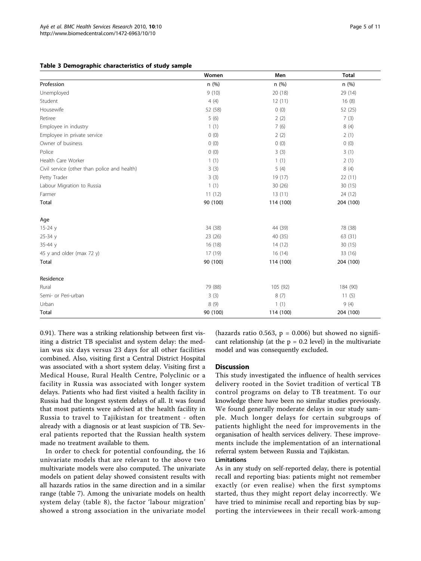#### <span id="page-4-0"></span>Table 3 Demographic characteristics of study sample

|                                              | Women    | Men       | <b>Total</b> |
|----------------------------------------------|----------|-----------|--------------|
| Profession                                   | n(%)     | n(%)      | n(%)         |
| Unemployed                                   | 9(10)    | 20 (18)   | 29 (14)      |
| Student                                      | 4(4)     | 12(11)    | 16(8)        |
| Housewife                                    | 52 (58)  | 0(0)      | 52 (25)      |
| Retiree                                      | 5(6)     | 2(2)      | 7(3)         |
| Employee in industry                         | 1(1)     | 7(6)      | 8(4)         |
| Employee in private service                  | 0(0)     | 2(2)      | 2(1)         |
| Owner of business                            | 0(0)     | 0(0)      | 0(0)         |
| Police                                       | 0(0)     | 3(3)      | 3(1)         |
| Health Care Worker                           | 1(1)     | 1(1)      | 2(1)         |
| Civil service (other than police and health) | 3(3)     | 5(4)      | 8(4)         |
| Petty Trader                                 | 3(3)     | 19 (17)   | 22(11)       |
| Labour Migration to Russia                   | 1(1)     | 30(26)    | 30(15)       |
| Farmer                                       | 11(12)   | 13(11)    | 24 (12)      |
| Total                                        | 90 (100) | 114 (100) | 204 (100)    |
| Age                                          |          |           |              |
| $15 - 24y$                                   | 34 (38)  | 44 (39)   | 78 (38)      |
| $25 - 34y$                                   | 23 (26)  | 40 (35)   | 63 (31)      |
| $35 - 44y$                                   | 16(18)   | 14(12)    | 30(15)       |
| 45 y and older (max 72 y)                    | 17 (19)  | 16(14)    | 33 (16)      |
| Total                                        | 90 (100) | 114 (100) | 204 (100)    |
| Residence                                    |          |           |              |
| Rural                                        | 79 (88)  | 105 (92)  | 184 (90)     |
| Semi- or Peri-urban                          | 3(3)     | 8(7)      | 11(5)        |
| Urban                                        | 8(9)     | 1(1)      | 9(4)         |
| Total                                        | 90 (100) | 114 (100) | 204 (100)    |

0.91). There was a striking relationship between first visiting a district TB specialist and system delay: the median was six days versus 23 days for all other facilities combined. Also, visiting first a Central District Hospital was associated with a short system delay. Visiting first a Medical House, Rural Health Centre, Polyclinic or a facility in Russia was associated with longer system delays. Patients who had first visited a health facility in Russia had the longest system delays of all. It was found that most patients were advised at the health facility in Russia to travel to Tajikistan for treatment - often already with a diagnosis or at least suspicion of TB. Several patients reported that the Russian health system made no treatment available to them.

In order to check for potential confounding, the 16 univariate models that are relevant to the above two multivariate models were also computed. The univariate models on patient delay showed consistent results with all hazards ratios in the same direction and in a similar range (table [7](#page-7-0)). Among the univariate models on health system delay (table [8](#page-8-0)), the factor 'labour migration' showed a strong association in the univariate model (hazards ratio 0.563,  $p = 0.006$ ) but showed no significant relationship (at the  $p = 0.2$  level) in the multivariate model and was consequently excluded.

#### **Discussion**

This study investigated the influence of health services delivery rooted in the Soviet tradition of vertical TB control programs on delay to TB treatment. To our knowledge there have been no similar studies previously. We found generally moderate delays in our study sample. Much longer delays for certain subgroups of patients highlight the need for improvements in the organisation of health services delivery. These improvements include the implementation of an international referral system between Russia and Tajikistan.

#### **Limitations**

As in any study on self-reported delay, there is potential recall and reporting bias: patients might not remember exactly (or even realise) when the first symptoms started, thus they might report delay incorrectly. We have tried to minimise recall and reporting bias by supporting the interviewees in their recall work-among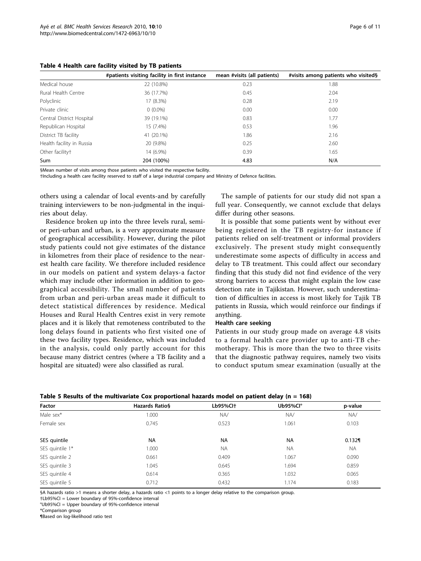<span id="page-5-0"></span>Table 4 Health care facility visited by TB patients

|                           | #patients visiting facility in first instance | mean #visits (all patients) | #visits among patients who visited§ |
|---------------------------|-----------------------------------------------|-----------------------------|-------------------------------------|
| Medical house             | 22 (10.8%)                                    | 0.23                        | 1.88                                |
| Rural Health Centre       | 36 (17.7%)                                    | 0.45                        | 2.04                                |
| Polyclinic                | 17 (8.3%)                                     | 0.28                        | 2.19                                |
| Private clinic            | $0(0.0\%)$                                    | 0.00                        | 0.00                                |
| Central District Hospital | 39 (19.1%)                                    | 0.83                        | 1.77                                |
| Republican Hospital       | 15 (7.4%)                                     | 0.53                        | 1.96                                |
| District TB facility      | 41 (20.1%)                                    | 1.86                        | 2.16                                |
| Health facility in Russia | 20 (9.8%)                                     | 0.25                        | 2.60                                |
| Other facilityt           | 14 (6.9%)                                     | 0.39                        | 1.65                                |
| <b>Sum</b>                | 204 (100%)                                    | 4.83                        | N/A                                 |

§Mean number of visits among those patients who visited the respective facility.

†Including a health care facility reserved to staff of a large industrial company and Ministry of Defence facilities.

others using a calendar of local events-and by carefully training interviewers to be non-judgmental in the inquiries about delay.

Residence broken up into the three levels rural, semior peri-urban and urban, is a very approximate measure of geographical accessibility. However, during the pilot study patients could not give estimates of the distance in kilometres from their place of residence to the nearest health care facility. We therefore included residence in our models on patient and system delays-a factor which may include other information in addition to geographical accessibility. The small number of patients from urban and peri-urban areas made it difficult to detect statistical differences by residence. Medical Houses and Rural Health Centres exist in very remote places and it is likely that remoteness contributed to the long delays found in patients who first visited one of these two facility types. Residence, which was included in the analysis, could only partly account for this because many district centres (where a TB facility and a hospital are situated) were also classified as rural.

The sample of patients for our study did not span a full year. Consequently, we cannot exclude that delays differ during other seasons.

It is possible that some patients went by without ever being registered in the TB registry-for instance if patients relied on self-treatment or informal providers exclusively. The present study might consequently underestimate some aspects of difficulty in access and delay to TB treatment. This could affect our secondary finding that this study did not find evidence of the very strong barriers to access that might explain the low case detection rate in Tajikistan. However, such underestimation of difficulties in access is most likely for Tajik TB patients in Russia, which would reinforce our findings if anything.

#### Health care seeking

Patients in our study group made on average 4.8 visits to a formal health care provider up to anti-TB chemotherapy. This is more than the two to three visits that the diagnostic pathway requires, namely two visits to conduct sputum smear examination (usually at the

| $\frac{1}{2}$ and $\frac{1}{2}$ and $\frac{1}{2}$ and $\frac{1}{2}$ and $\frac{1}{2}$ and $\frac{1}{2}$ and $\frac{1}{2}$ and $\frac{1}{2}$ and $\frac{1}{2}$ and $\frac{1}{2}$ and $\frac{1}{2}$ and $\frac{1}{2}$ and $\frac{1}{2}$ and $\frac{1}{2}$ and $\frac{1}{2}$ and $\frac{1}{2}$ a |                |                 |           |           |  |
|-----------------------------------------------------------------------------------------------------------------------------------------------------------------------------------------------------------------------------------------------------------------------------------------------|----------------|-----------------|-----------|-----------|--|
| Factor                                                                                                                                                                                                                                                                                        | Hazards Ratio§ | <b>Lb95%CI+</b> | Ub95%Cl°  | p-value   |  |
| Male sex*                                                                                                                                                                                                                                                                                     | 1.000          | NA/             | NA/       | NA/       |  |
| Female sex                                                                                                                                                                                                                                                                                    | 0.745          | 0.523           | 1.061     | 0.103     |  |
| SES quintile                                                                                                                                                                                                                                                                                  | <b>NA</b>      | <b>NA</b>       | <b>NA</b> | 0.132     |  |
| SES quintile 1*                                                                                                                                                                                                                                                                               | 1.000          | <b>NA</b>       | <b>NA</b> | <b>NA</b> |  |
| SES quintile 2                                                                                                                                                                                                                                                                                | 0.661          | 0.409           | 1.067     | 0.090     |  |
| SES quintile 3                                                                                                                                                                                                                                                                                | 1.045          | 0.645           | 1.694     | 0.859     |  |
| SES quintile 4                                                                                                                                                                                                                                                                                | 0.614          | 0.365           | 1.032     | 0.065     |  |
| SES quintile 5                                                                                                                                                                                                                                                                                | 0.712          | 0.432           | 1.174     | 0.183     |  |
|                                                                                                                                                                                                                                                                                               |                |                 |           |           |  |

|  |  | Table 5 Results of the multivariate Cox proportional hazards model on patient delay ( $n = 168$ ) |  |
|--|--|---------------------------------------------------------------------------------------------------|--|
|--|--|---------------------------------------------------------------------------------------------------|--|

§A hazards ratio >1 means a shorter delay, a hazards ratio <1 points to a longer delay relative to the comparison group.

†Lb95%CI = Lower boundary of 95%-confidence interval

°Ub95%CI = Upper boundary of 95%-confidence interval

\*Comparison group

¶Based on log-likelihood ratio test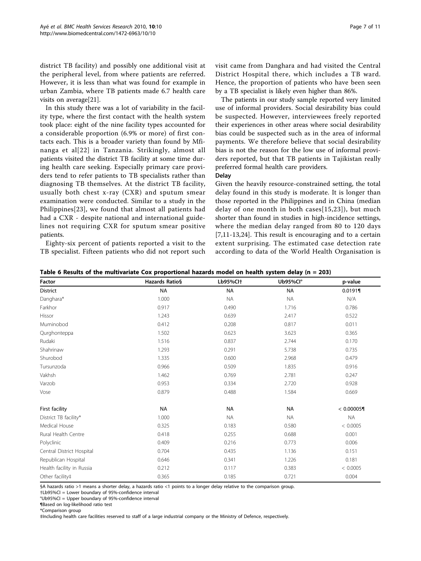<span id="page-6-0"></span>district TB facility) and possibly one additional visit at the peripheral level, from where patients are referred. However, it is less than what was found for example in urban Zambia, where TB patients made 6.7 health care visits on average[\[21](#page-10-0)].

In this study there was a lot of variability in the facility type, where the first contact with the health system took place: eight of the nine facility types accounted for a considerable proportion (6.9% or more) of first contacts each. This is a broader variety than found by Mfinanga et al[[22\]](#page-10-0) in Tanzania. Strikingly, almost all patients visited the district TB facility at some time during health care seeking. Especially primary care providers tend to refer patients to TB specialists rather than diagnosing TB themselves. At the district TB facility, usually both chest x-ray (CXR) and sputum smear examination were conducted. Similar to a study in the Philippines[[23\]](#page-10-0), we found that almost all patients had had a CXR - despite national and international guidelines not requiring CXR for sputum smear positive patients.

Eighty-six percent of patients reported a visit to the TB specialist. Fifteen patients who did not report such visit came from Danghara and had visited the Central District Hospital there, which includes a TB ward. Hence, the proportion of patients who have been seen by a TB specialist is likely even higher than 86%.

The patients in our study sample reported very limited use of informal providers. Social desirability bias could be suspected. However, interviewees freely reported their experiences in other areas where social desirability bias could be suspected such as in the area of informal payments. We therefore believe that social desirability bias is not the reason for the low use of informal providers reported, but that TB patients in Tajikistan really preferred formal health care providers.

## Delay

Given the heavily resource-constrained setting, the total delay found in this study is moderate. It is longer than those reported in the Philippines and in China (median delay of one month in both cases[[15](#page-10-0),[23\]](#page-10-0)), but much shorter than found in studies in high-incidence settings, where the median delay ranged from 80 to 120 days [[7,11](#page-10-0)-[13,24\]](#page-10-0). This result is encouraging and to a certain extent surprising. The estimated case detection rate according to data of the World Health Organisation is

| Table 6 Results of the multivariate Cox proportional hazards model on health system delay ( $n = 203$ ) |  |  |
|---------------------------------------------------------------------------------------------------------|--|--|
|---------------------------------------------------------------------------------------------------------|--|--|

| Factor                    | Hazards Ratio§ | Lb95%Cl <sup>+</sup> | Ub95%Cl°  | p-value   |
|---------------------------|----------------|----------------------|-----------|-----------|
| <b>District</b>           | <b>NA</b>      | <b>NA</b>            | <b>NA</b> | 0.01919   |
| Danghara*                 | 1.000          | <b>NA</b>            | <b>NA</b> | N/A       |
| Farkhor                   | 0.917          | 0.490                | 1.716     | 0.786     |
| Hissor                    | 1.243          | 0.639                | 2.417     | 0.522     |
| Muminobod                 | 0.412          | 0.208                | 0.817     | 0.011     |
| Qurghonteppa              | 1.502          | 0.623                | 3.623     | 0.365     |
| Rudaki                    | 1.516          | 0.837                | 2.744     | 0.170     |
| Shahrinaw                 | 1.293          | 0.291                | 5.738     | 0.735     |
| Shurobod                  | 1.335          | 0.600                | 2.968     | 0.479     |
| Tursunzoda                | 0.966          | 0.509                | 1.835     | 0.916     |
| Vakhsh                    | 1.462          | 0.769                | 2.781     | 0.247     |
| Varzob                    | 0.953          | 0.334                | 2.720     | 0.928     |
| Vose                      | 0.879          | 0.488                | 1.584     | 0.669     |
| First facility            | <b>NA</b>      | <b>NA</b>            | <b>NA</b> | < 0.00005 |
| District TB facility*     | 1.000          | <b>NA</b>            | <b>NA</b> | <b>NA</b> |
| Medical House             | 0.325          | 0.183                | 0.580     | < 0.0005  |
| Rural Health Centre       | 0.418          | 0.255                | 0.688     | 0.001     |
| Polyclinic                | 0.409          | 0.216                | 0.773     | 0.006     |
| Central District Hospital | 0.704          | 0.435                | 1.136     | 0.151     |
| Republican Hospital       | 0.646          | 0.341                | 1.226     | 0.181     |
| Health facility in Russia | 0.212          | 0.117                | 0.383     | < 0.0005  |
| Other facility#           | 0.365          | 0.185                | 0.721     | 0.004     |

§A hazards ratio >1 means a shorter delay, a hazards ratio <1 points to a longer delay relative to the comparison group.

†Lb95%CI = Lower boundary of 95%-confidence interval

°Ub95%CI = Upper boundary of 95%-confidence interval

¶Based on log-likelihood ratio test

\*Comparison group

‡Including health care facilities reserved to staff of a large industrial company or the Ministry of Defence, respectively.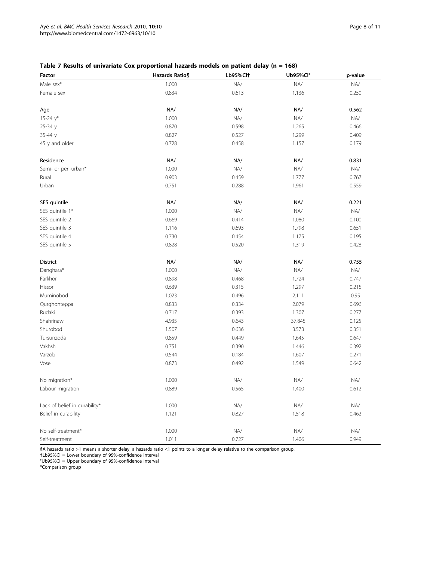<span id="page-7-0"></span>

| Table 7 Results of univariate Cox proportional hazards models on patient delay ( $n = 168$ ) |  |  |  |  |  |  |
|----------------------------------------------------------------------------------------------|--|--|--|--|--|--|
|----------------------------------------------------------------------------------------------|--|--|--|--|--|--|

| Factor                        | Hazards Ratio§ | Lb95%Clt                | Ub95%Cl°                | p-value                 |
|-------------------------------|----------------|-------------------------|-------------------------|-------------------------|
| Male sex*                     | 1.000          | $\mathsf{NA}\mathsf{/}$ | $\mathsf{NA}/$          | $\mathsf{NA}\mathsf{/}$ |
| Female sex                    | 0.834          | 0.613                   | 1.136                   | 0.250                   |
| Age                           | $\mathsf{NA}/$ | NA/                     | NA/                     | 0.562                   |
| $15-24 y*$                    | 1.000          | $\mathsf{NA}\!/$        | $\mathsf{NA}/$          | NA/                     |
| 25-34 y                       | 0.870          | 0.598                   | 1.265                   | 0.466                   |
| 35-44 y                       | 0.827          | 0.527                   | 1.299                   | 0.409                   |
| 45 y and older                | 0.728          | 0.458                   | 1.157                   | 0.179                   |
| Residence                     | NA/            | NA/                     | NA/                     | 0.831                   |
| Semi- or peri-urban*          | 1.000          | $\mathsf{NA}\mathsf{/}$ | $\mathsf{NA}/$          | NA/                     |
| Rural                         | 0.903          | 0.459                   | 1.777                   | 0.767                   |
| Urban                         | 0.751          | 0.288                   | 1.961                   | 0.559                   |
| SES quintile                  | NA/            | NA/                     | NA/                     | 0.221                   |
| SES quintile 1*               | 1.000          | $\mathsf{NA}\!/$        | $\mathsf{NA}/$          | NA/                     |
| SES quintile 2                | 0.669          | 0.414                   | 1.080                   | 0.100                   |
| SES quintile 3                | 1.116          | 0.693                   | 1.798                   | 0.651                   |
| SES quintile 4                | 0.730          | 0.454                   | 1.175                   | 0.195                   |
| SES quintile 5                | 0.828          | 0.520                   | 1.319                   | 0.428                   |
| District                      | NA/            | NA/                     | NA/                     | 0.755                   |
| Danghara*                     | 1.000          | $\mathsf{NA}\mathsf{/}$ | NA/                     | NA/                     |
| Farkhor                       | 0.898          | 0.468                   | 1.724                   | 0.747                   |
| Hissor                        | 0.639          | 0.315                   | 1.297                   | 0.215                   |
| Muminobod                     | 1.023          | 0.496                   | 2.111                   | 0.95                    |
| Qurghonteppa                  | 0.833          | 0.334                   | 2.079                   | 0.696                   |
| Rudaki                        | 0.717          | 0.393                   | 1.307                   | 0.277                   |
| Shahrinaw                     | 4.935          | 0.643                   | 37.845                  | 0.125                   |
| Shurobod                      | 1.507          | 0.636                   | 3.573                   | 0.351                   |
| Tursunzoda                    | 0.859          | 0.449                   | 1.645                   | 0.647                   |
| Vakhsh                        | 0.751          | 0.390                   | 1.446                   | 0.392                   |
| Varzob                        | 0.544          | 0.184                   | 1.607                   | 0.271                   |
| Vose                          | 0.873          | 0.492                   | 1.549                   | 0.642                   |
| No migration*                 | 1.000          | $\mathsf{NA}\mathsf{/}$ | $\mathsf{NA}\mathsf{/}$ | $\mathsf{NA}\mathsf{/}$ |
| Labour migration              | 0.889          | 0.565                   | 1.400                   | 0.612                   |
| Lack of belief in curability* | 1.000          | $\mathsf{NA}\mathsf{/}$ | $\mathsf{NA}/$          | $\mathsf{NA}\mathsf{/}$ |
| Belief in curability          | 1.121          | 0.827                   | 1.518                   | 0.462                   |
| No self-treatment*            | 1.000          | NA/                     | NA/                     | NA/                     |
| Self-treatment                | 1.011          | 0.727                   | 1.406                   | 0.949                   |

§A hazards ratio >1 means a shorter delay, a hazards ratio <1 points to a longer delay relative to the comparison group.

†Lb95%CI = Lower boundary of 95%-confidence interval

°Ub95%CI = Upper boundary of 95%-confidence interval

\*Comparison group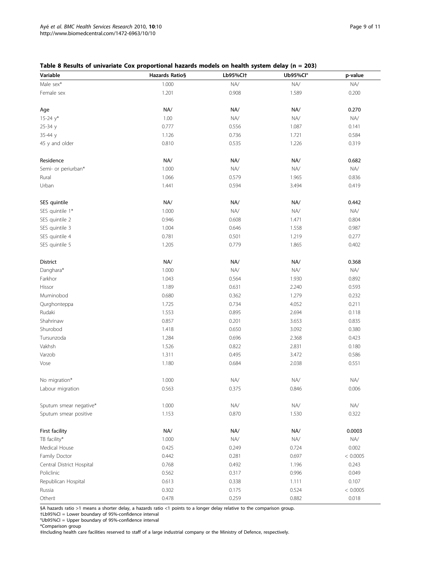<span id="page-8-0"></span>

|  | Table 8 Results of univariate Cox proportional hazards models on health system delay ( $n = 203$ ) |  |
|--|----------------------------------------------------------------------------------------------------|--|
|--|----------------------------------------------------------------------------------------------------|--|

| Variable                  | Hazards Ratio§ | Lb95%Clt                         | Ub95%Cl°                | p-value                 |
|---------------------------|----------------|----------------------------------|-------------------------|-------------------------|
| Male sex*                 | 1.000          | $\mathsf{N}\mathsf{A}\mathsf{V}$ | $\mathsf{NA}\mathsf{/}$ | $\mathsf{NA}\mathsf{/}$ |
| Female sex                | 1.201          | 0.908                            | 1.589                   | 0.200                   |
|                           |                |                                  |                         |                         |
| Age                       | NA/            | NA/                              | NA/                     | 0.270                   |
| $15-24y*$                 | 1.00           | $\mathsf{N}\mathsf{A}\mathsf{V}$ | $\mathsf{NA}\mathsf{/}$ | NA/                     |
| 25-34 y                   | 0.777          | 0.556                            | 1.087                   | 0.141                   |
| 35-44 y                   | 1.126          | 0.736                            | 1.721                   | 0.584                   |
| 45 y and older            | 0.810          | 0.535                            | 1.226                   | 0.319                   |
|                           |                |                                  |                         |                         |
| Residence                 | NA/            | NA/                              | NA/                     | 0.682                   |
| Semi- or periurban*       | 1.000          | $\mathsf{NA}\mathsf{/}$          | $\mathsf{NA}\mathsf{/}$ | $\mathsf{NA}\mathsf{/}$ |
| Rural                     | 1.066          | 0.579                            | 1.965                   | 0.836                   |
| Urban                     | 1.441          | 0.594                            | 3.494                   | 0.419                   |
|                           |                |                                  |                         |                         |
| SES quintile              | NA/            | NA/                              | NA/                     | 0.442                   |
| SES quintile 1*           | 1.000          | NA/                              | $\mathsf{NA}\mathsf{/}$ | $\mathsf{NA}\!/$        |
| SES quintile 2            | 0.946          | 0.608                            | 1.471                   | 0.804                   |
| SES quintile 3            | 1.004          | 0.646                            | 1.558                   | 0.987                   |
| SES quintile 4            | 0.781          | 0.501                            | 1.219                   | 0.277                   |
| SES quintile 5            | 1.205          | 0.779                            | 1.865                   | 0.402                   |
|                           |                |                                  |                         |                         |
| District                  | NA/            | NA/                              | NA/                     | 0.368                   |
| Danghara*                 | 1.000          | NA/                              | $\mathsf{NA}\mathsf{/}$ | NA/                     |
| Farkhor                   | 1.043          | 0.564                            | 1.930                   | 0.892                   |
| Hissor                    | 1.189          | 0.631                            | 2.240                   | 0.593                   |
| Muminobod                 | 0.680          | 0.362                            | 1.279                   | 0.232                   |
| Qurghonteppa              | 1.725          | 0.734                            | 4.052                   | 0.211                   |
| Rudaki                    | 1.553          | 0.895                            | 2.694                   | 0.118                   |
| Shahrinaw                 | 0.857          | 0.201                            | 3.653                   | 0.835                   |
| Shurobod                  | 1.418          | 0.650                            | 3.092                   | 0.380                   |
| Tursunzoda                | 1.284          | 0.696                            | 2.368                   | 0.423                   |
| Vakhsh                    | 1.526          | 0.822                            | 2.831                   | 0.180                   |
| Varzob                    | 1.311          | 0.495                            | 3.472                   | 0.586                   |
| Vose                      | 1.180          | 0.684                            | 2.038                   | 0.551                   |
|                           |                |                                  |                         |                         |
| No migration*             | 1.000          | NA/                              | $\mathsf{NA}\mathsf{/}$ | NA/                     |
| Labour migration          | 0.563          | 0.375                            | 0.846                   | 0.006                   |
|                           |                |                                  |                         |                         |
| Sputum smear negative*    | 1.000          | $\mathsf{NA}\mathsf{/}$          | $\mathsf{NA}\mathsf{/}$ | $\mathsf{NA}\mathsf{/}$ |
| Sputum smear positive     | 1.153          | 0.870                            | 1.530                   | 0.322                   |
|                           |                |                                  |                         |                         |
| First facility            | NA/            | NA/                              | NA/                     | 0.0003                  |
| TB facility*              | 1.000          | NA/                              | $\mathsf{NA}\mathsf{/}$ | NA/                     |
| Medical House             | 0.425          | 0.249                            | 0.724                   | 0.002                   |
| Family Doctor             | 0.442          | 0.281                            | 0.697                   | < 0.0005                |
| Central District Hospital | 0.768          | 0.492                            | 1.196                   | 0.243                   |
| Policlinic                | 0.562          | 0.317                            | 0.996                   | 0.049                   |
| Republican Hospital       | 0.613          | 0.338                            | 1.111                   | 0.107                   |
| Russia                    | 0.302          | 0.175                            | 0.524                   | < 0.0005                |
| Other‡                    | 0.478          | 0.259                            | 0.882                   | 0.018                   |
|                           |                |                                  |                         |                         |

§A hazards ratio >1 means a shorter delay, a hazards ratio <1 points to a longer delay relative to the comparison group.

†Lb95%CI = Lower boundary of 95%-confidence interval

°Ub95%CI = Upper boundary of 95%-confidence interval

\*Comparison group

‡Including health care facilities reserved to staff of a large industrial company or the Ministry of Defence, respectively.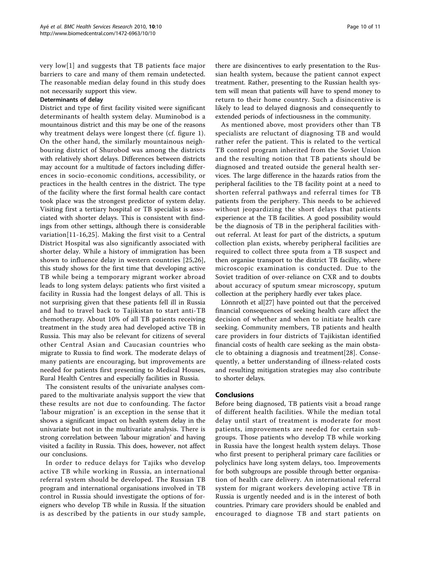very low[\[1\]](#page-10-0) and suggests that TB patients face major barriers to care and many of them remain undetected. The reasonable median delay found in this study does not necessarily support this view.

### Determinants of delay

District and type of first facility visited were significant determinants of health system delay. Muminobod is a mountainous district and this may be one of the reasons why treatment delays were longest there (cf. figure [1](#page-2-0)). On the other hand, the similarly mountainous neighbouring district of Shurobod was among the districts with relatively short delays. Differences between districts may account for a multitude of factors including differences in socio-economic conditions, accessibility, or practices in the health centres in the district. The type of the facility where the first formal health care contact took place was the strongest predictor of system delay. Visiting first a tertiary hospital or TB specialist is associated with shorter delays. This is consistent with findings from other settings, although there is considerable variation[[11](#page-10-0)-[16,25\]](#page-10-0). Making the first visit to a Central District Hospital was also significantly associated with shorter delay. While a history of immigration has been shown to influence delay in western countries [\[25,26](#page-10-0)], this study shows for the first time that developing active TB while being a temporary migrant worker abroad leads to long system delays: patients who first visited a facility in Russia had the longest delays of all. This is not surprising given that these patients fell ill in Russia and had to travel back to Tajikistan to start anti-TB chemotherapy. About 10% of all TB patients receiving treatment in the study area had developed active TB in Russia. This may also be relevant for citizens of several other Central Asian and Caucasian countries who migrate to Russia to find work. The moderate delays of many patients are encouraging, but improvements are needed for patients first presenting to Medical Houses, Rural Health Centres and especially facilities in Russia.

The consistent results of the univariate analyses compared to the multivariate analysis support the view that these results are not due to confounding. The factor 'labour migration' is an exception in the sense that it shows a significant impact on health system delay in the univariate but not in the multivariate analysis. There is strong correlation between 'labour migration' and having visited a facility in Russia. This does, however, not affect our conclusions.

In order to reduce delays for Tajiks who develop active TB while working in Russia, an international referral system should be developed. The Russian TB program and international organisations involved in TB control in Russia should investigate the options of foreigners who develop TB while in Russia. If the situation is as described by the patients in our study sample,

there are disincentives to early presentation to the Russian health system, because the patient cannot expect treatment. Rather, presenting to the Russian health system will mean that patients will have to spend money to return to their home country. Such a disincentive is likely to lead to delayed diagnosis and consequently to extended periods of infectiousness in the community.

As mentioned above, most providers other than TB specialists are reluctant of diagnosing TB and would rather refer the patient. This is related to the vertical TB control program inherited from the Soviet Union and the resulting notion that TB patients should be diagnosed and treated outside the general health services. The large difference in the hazards ratios from the peripheral facilities to the TB facility point at a need to shorten referral pathways and referral times for TB patients from the periphery. This needs to be achieved without jeopardizing the short delays that patients experience at the TB facilities. A good possibility would be the diagnosis of TB in the peripheral facilities without referral. At least for part of the districts, a sputum collection plan exists, whereby peripheral facilities are required to collect three sputa from a TB suspect and then organise transport to the district TB facility, where microscopic examination is conducted. Due to the Soviet tradition of over-reliance on CXR and to doubts about accuracy of sputum smear microscopy, sputum collection at the periphery hardly ever takes place.

Lönnroth et al[\[27](#page-10-0)] have pointed out that the perceived financial consequences of seeking health care affect the decision of whether and when to initiate health care seeking. Community members, TB patients and health care providers in four districts of Tajikistan identified financial costs of health care seeking as the main obstacle to obtaining a diagnosis and treatment[[28\]](#page-10-0). Consequently, a better understanding of illness-related costs and resulting mitigation strategies may also contribute to shorter delays.

#### Conclusions

Before being diagnosed, TB patients visit a broad range of different health facilities. While the median total delay until start of treatment is moderate for most patients, improvements are needed for certain subgroups. Those patients who develop TB while working in Russia have the longest health system delays. Those who first present to peripheral primary care facilities or polyclinics have long system delays, too. Improvements for both subgroups are possible through better organisation of health care delivery. An international referral system for migrant workers developing active TB in Russia is urgently needed and is in the interest of both countries. Primary care providers should be enabled and encouraged to diagnose TB and start patients on